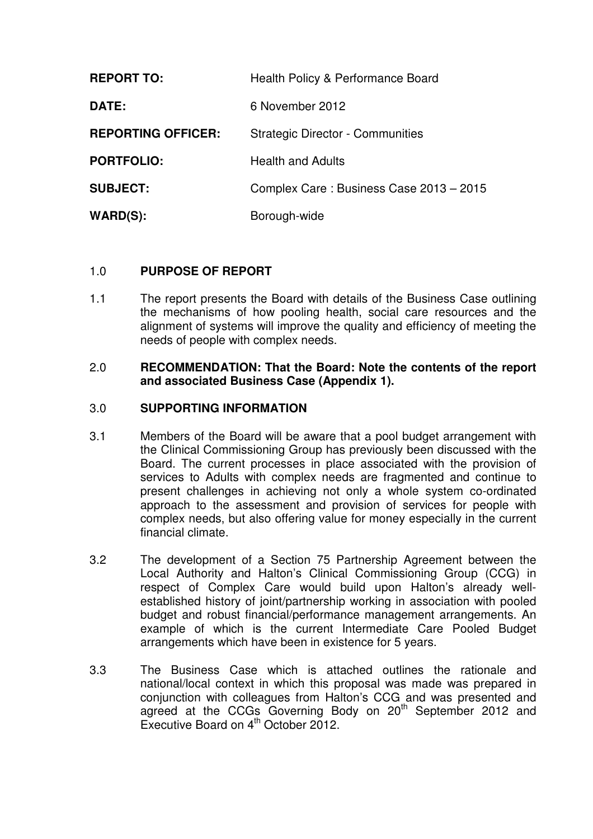| <b>REPORT TO:</b>         | Health Policy & Performance Board       |
|---------------------------|-----------------------------------------|
| <b>DATE:</b>              | 6 November 2012                         |
| <b>REPORTING OFFICER:</b> | <b>Strategic Director - Communities</b> |
| <b>PORTFOLIO:</b>         | <b>Health and Adults</b>                |
| <b>SUBJECT:</b>           | Complex Care: Business Case 2013 - 2015 |
| WARD(S):                  | Borough-wide                            |

## 1.0 **PURPOSE OF REPORT**

1.1 The report presents the Board with details of the Business Case outlining the mechanisms of how pooling health, social care resources and the alignment of systems will improve the quality and efficiency of meeting the needs of people with complex needs.

#### 2.0 **RECOMMENDATION: That the Board: Note the contents of the report and associated Business Case (Appendix 1).**

## 3.0 **SUPPORTING INFORMATION**

- 3.1 Members of the Board will be aware that a pool budget arrangement with the Clinical Commissioning Group has previously been discussed with the Board. The current processes in place associated with the provision of services to Adults with complex needs are fragmented and continue to present challenges in achieving not only a whole system co-ordinated approach to the assessment and provision of services for people with complex needs, but also offering value for money especially in the current financial climate.
- 3.2 The development of a Section 75 Partnership Agreement between the Local Authority and Halton's Clinical Commissioning Group (CCG) in respect of Complex Care would build upon Halton's already wellestablished history of joint/partnership working in association with pooled budget and robust financial/performance management arrangements. An example of which is the current Intermediate Care Pooled Budget arrangements which have been in existence for 5 years.
- 3.3 The Business Case which is attached outlines the rationale and national/local context in which this proposal was made was prepared in conjunction with colleagues from Halton's CCG and was presented and agreed at the CCGs Governing Body on 20<sup>th</sup> September 2012 and Executive Board on  $4^{th}$  October 2012.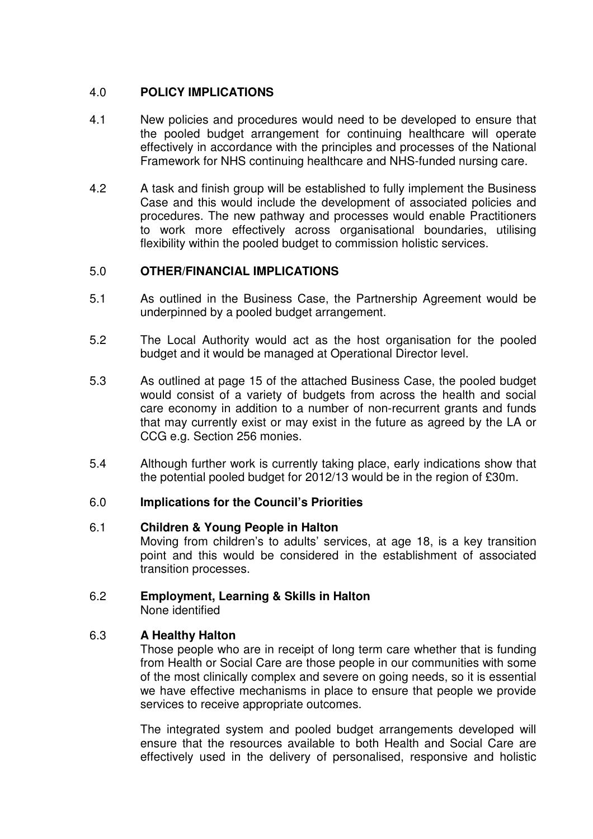# 4.0 **POLICY IMPLICATIONS**

- 4.1 New policies and procedures would need to be developed to ensure that the pooled budget arrangement for continuing healthcare will operate effectively in accordance with the principles and processes of the National Framework for NHS continuing healthcare and NHS-funded nursing care.
- 4.2 A task and finish group will be established to fully implement the Business Case and this would include the development of associated policies and procedures. The new pathway and processes would enable Practitioners to work more effectively across organisational boundaries, utilising flexibility within the pooled budget to commission holistic services.

## 5.0 **OTHER/FINANCIAL IMPLICATIONS**

- 5.1 As outlined in the Business Case, the Partnership Agreement would be underpinned by a pooled budget arrangement.
- 5.2 The Local Authority would act as the host organisation for the pooled budget and it would be managed at Operational Director level.
- 5.3 As outlined at page 15 of the attached Business Case, the pooled budget would consist of a variety of budgets from across the health and social care economy in addition to a number of non-recurrent grants and funds that may currently exist or may exist in the future as agreed by the LA or CCG e.g. Section 256 monies.
- 5.4 Although further work is currently taking place, early indications show that the potential pooled budget for 2012/13 would be in the region of £30m.

## 6.0 **Implications for the Council's Priorities**

## 6.1 **Children & Young People in Halton**

Moving from children's to adults' services, at age 18, is a key transition point and this would be considered in the establishment of associated transition processes.

# 6.2 **Employment, Learning & Skills in Halton**

None identified

## 6.3 **A Healthy Halton**

Those people who are in receipt of long term care whether that is funding from Health or Social Care are those people in our communities with some of the most clinically complex and severe on going needs, so it is essential we have effective mechanisms in place to ensure that people we provide services to receive appropriate outcomes.

The integrated system and pooled budget arrangements developed will ensure that the resources available to both Health and Social Care are effectively used in the delivery of personalised, responsive and holistic